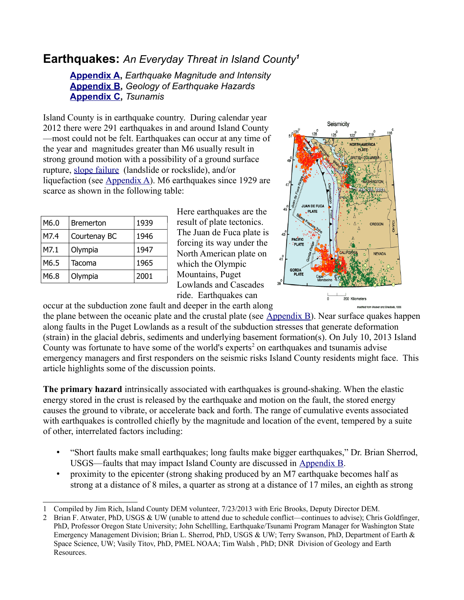## **Earthquakes:** *An Everyday Threat in Island County[1](#page-0-0)*

**[Appendix A,](https://www.islandcounty.net/publicworks/DEM/documents/append_a.pdf)** *Earthquake Magnitude and Intensity* **[Appendix B,](https://www.islandcounty.net/publicworks/DEM/documents/append_b.pdf)** *Geology of Earthquake Hazards* **[Appendix C,](https://www.islandcounty.net/publicworks/DEM/documents/append_c.pdf)** *Tsunamis*

Island County is in earthquake country. During calendar year 2012 there were 291 earthquakes in and around Island County —most could not be felt. Earthquakes can occur at any time of the year and magnitudes greater than M6 usually result in strong ground motion with a possibility of a ground surface rupture, [slope failure](http://www.islandcounty.net/publicworks/dem/documents/landslide.pdf) (landslide or rockslide), and/or liquefaction (see [Appendix A\)](https://www.islandcounty.net/publicworks/DEM/documents/append_a.pdf). M6 earthquakes since 1929 are scarce as shown in the following table:

| M6.0 | <b>Bremerton</b> | 1939 |
|------|------------------|------|
| M7.4 | Courtenay BC     | 1946 |
| M7.1 | Olympia          | 1947 |
| M6.5 | Tacoma           | 1965 |
| M6.8 | Olympia          | 2001 |

Here earthquakes are the result of plate tectonics. The Juan de Fuca plate is forcing its way under the North American plate on which the Olympic Mountains, Puget Lowlands and Cascades ride. Earthquakes can



occur at the subduction zone fault and deeper in the earth along the plane between the oceanic plate and the crustal plate (see  $\Delta$ ppendix  $\overline{B}$ ). Near surface quakes happen along faults in the Puget Lowlands as a result of the subduction stresses that generate deformation (strain) in the glacial debris, sediments and underlying basement formation(s). On July 10, 2013 Island County was fortunate to have some of the world's experts<sup>[2](#page-0-1)</sup> on earthquakes and tsunamis advise emergency managers and first responders on the seismic risks Island County residents might face. This article highlights some of the discussion points.

**The primary hazard** intrinsically associated with earthquakes is ground-shaking. When the elastic energy stored in the crust is released by the earthquake and motion on the fault, the stored energy causes the ground to vibrate, or accelerate back and forth. The range of cumulative events associated with earthquakes is controlled chiefly by the magnitude and location of the event, tempered by a suite of other, interrelated factors including:

- "Short faults make small earthquakes; long faults make bigger earthquakes," Dr. Brian Sherrod, USGS—faults that may impact Island County are discussed in [Appendix B.](https://www.islandcounty.net/publicworks/DEM/documents/append_b.pdf)
- proximity to the epicenter (strong shaking produced by an M7 earthquake becomes half as strong at a distance of 8 miles, a quarter as strong at a distance of 17 miles, an eighth as strong

<span id="page-0-0"></span><sup>1</sup> Compiled by Jim Rich, Island County DEM volunteer, 7/23/2013 with Eric Brooks, Deputy Director DEM.

<span id="page-0-1"></span><sup>2</sup> Brian F. Atwater, PhD, USGS & UW (unable to attend due to schedule conflict—continues to advise); Chris Goldfinger, PhD, Professor Oregon State University; John Schellling, Earthquake/Tsunami Program Manager for Washington State Emergency Management Division; Brian L. Sherrod, PhD, USGS & UW; Terry Swanson, PhD, Department of Earth & Space Science, UW; Vasily Titov, PhD, PMEL NOAA; Tim Walsh , PhD; DNR Division of Geology and Earth Resources.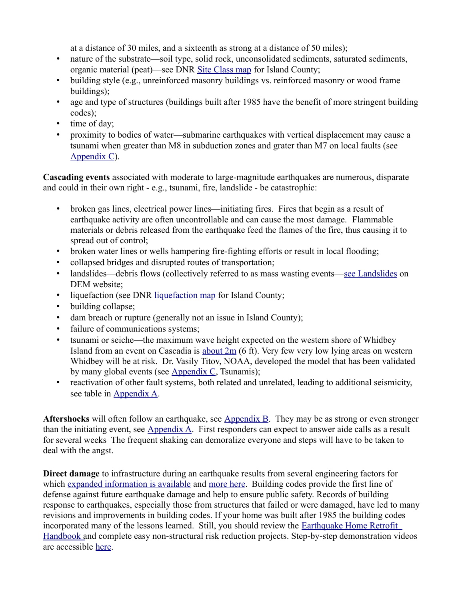at a distance of 30 miles, and a sixteenth as strong at a distance of 50 miles);

- nature of the substrate—soil type, solid rock, unconsolidated sediments, saturated sediments, organic material (peat)—see DNR [Site Class map](https://www.islandcounty.net/publicworks/DEM/documents/ofr2004-20_sheet30_island_nehrp.pdf) for Island County;
- building style (e.g., unreinforced masonry buildings vs. reinforced masonry or wood frame buildings);
- age and type of structures (buildings built after 1985 have the benefit of more stringent building codes);
- time of day;
- proximity to bodies of water—submarine earthquakes with vertical displacement may cause a tsunami when greater than M8 in subduction zones and grater than M7 on local faults (see [Appendix C\)](https://www.islandcounty.net/publicworks/DEM/documents/append_c.pdf).

**Cascading events** associated with moderate to large-magnitude earthquakes are numerous, disparate and could in their own right - e.g., tsunami, fire, landslide - be catastrophic:

- broken gas lines, electrical power lines—initiating fires. Fires that begin as a result of earthquake activity are often uncontrollable and can cause the most damage. Flammable materials or debris released from the earthquake feed the flames of the fire, thus causing it to spread out of control;
- broken water lines or wells hampering fire-fighting efforts or result in local flooding;
- collapsed bridges and disrupted routes of transportation;
- landslides—debris flows (collectively referred to as mass wasting events[—see Landslides](http://www.islandcounty.net/publicworks/dem/documents/landslide_full.pdf) on DEM website;
- liquefaction (see DNR [liquefaction map](https://www.islandcounty.net/publicworks/DEM/documents/Liquifaction%20-%20ofr2004-20_sheet29_island_liq.pdf) for Island County;
- building collapse;
- dam breach or rupture (generally not an issue in Island County);
- failure of communications systems;
- tsunami or seiche—the maximum wave height expected on the western shore of Whidbey Island from an event on Cascadia is [about 2m](http://www.pmel.noaa.gov/pubs/PDF/vent2713/vent2713.pdf) (6 ft). Very few very low lying areas on western Whidbey will be at risk. Dr. Vasily Titov, NOAA, developed the model that has been validated by many global events (see [Appendix C,](https://www.islandcounty.net/publicworks/DEM/documents/append_c.pdf) Tsunamis);
- reactivation of other fault systems, both related and unrelated, leading to additional seismicity, see table in [Appendix A.](https://www.islandcounty.net/publicworks/DEM/documents/append_a.pdf)

**Aftershocks** will often follow an earthquake, see [Appendix B.](https://www.islandcounty.net/publicworks/DEM/documents/append_b.pdf) They may be as strong or even stronger than the initiating event, see [Appendix A.](https://www.islandcounty.net/publicworks/DEM/documents/append_a.pdf) First responders can expect to answer aide calls as a result for several weeks The frequent shaking can demoralize everyone and steps will have to be taken to deal with the angst.

**Direct damage** to infrastructure during an earthquake results from several engineering factors for which [expanded information is available](http://mceer.buffalo.edu/infoservice/reference_services/buildingRespondEQ.asp) and [more here.](http://www.iris.edu/hq) Building codes provide the first line of defense against future earthquake damage and help to ensure public safety. Records of building response to earthquakes, especially those from structures that failed or were damaged, have led to many revisions and improvements in building codes. If your home was built after 1985 the building codes incorporated many of the lessons learned. Still, you should review the [Earthquake Home Retrofit](http://www.seattle.gov/emergency/library/mitigation/HR%20Book%202%20-%20assessment.pdf)  Handbook and complete easy non-structural risk reduction projects. Step-by-step demonstration videos are accessible [here.](http://www.emd.wa.gov/preparedness/prep_personal_prep_video_index.shtml)